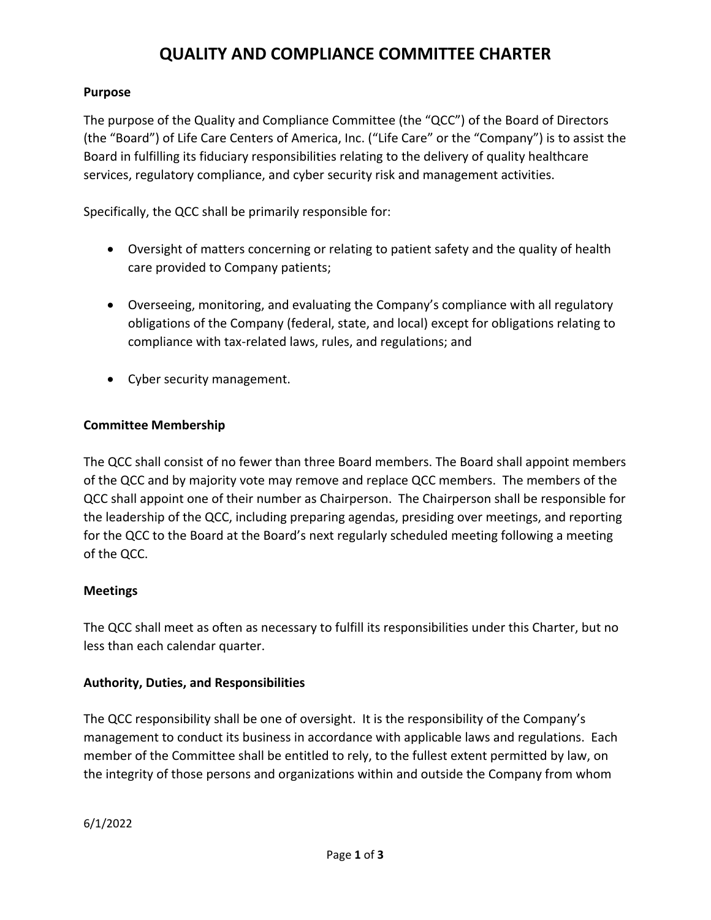# **QUALITY AND COMPLIANCE COMMITTEE CHARTER**

### **Purpose**

The purpose of the Quality and Compliance Committee (the "QCC") of the Board of Directors (the "Board") of Life Care Centers of America, Inc. ("Life Care" or the "Company") is to assist the Board in fulfilling its fiduciary responsibilities relating to the delivery of quality healthcare services, regulatory compliance, and cyber security risk and management activities.

Specifically, the QCC shall be primarily responsible for:

- Oversight of matters concerning or relating to patient safety and the quality of health care provided to Company patients;
- Overseeing, monitoring, and evaluating the Company's compliance with all regulatory obligations of the Company (federal, state, and local) except for obligations relating to compliance with tax‐related laws, rules, and regulations; and
- Cyber security management.

### **Committee Membership**

The QCC shall consist of no fewer than three Board members. The Board shall appoint members of the QCC and by majority vote may remove and replace QCC members. The members of the QCC shall appoint one of their number as Chairperson. The Chairperson shall be responsible for the leadership of the QCC, including preparing agendas, presiding over meetings, and reporting for the QCC to the Board at the Board's next regularly scheduled meeting following a meeting of the QCC.

### **Meetings**

The QCC shall meet as often as necessary to fulfill its responsibilities under this Charter, but no less than each calendar quarter.

### **Authority, Duties, and Responsibilities**

The QCC responsibility shall be one of oversight. It is the responsibility of the Company's management to conduct its business in accordance with applicable laws and regulations. Each member of the Committee shall be entitled to rely, to the fullest extent permitted by law, on the integrity of those persons and organizations within and outside the Company from whom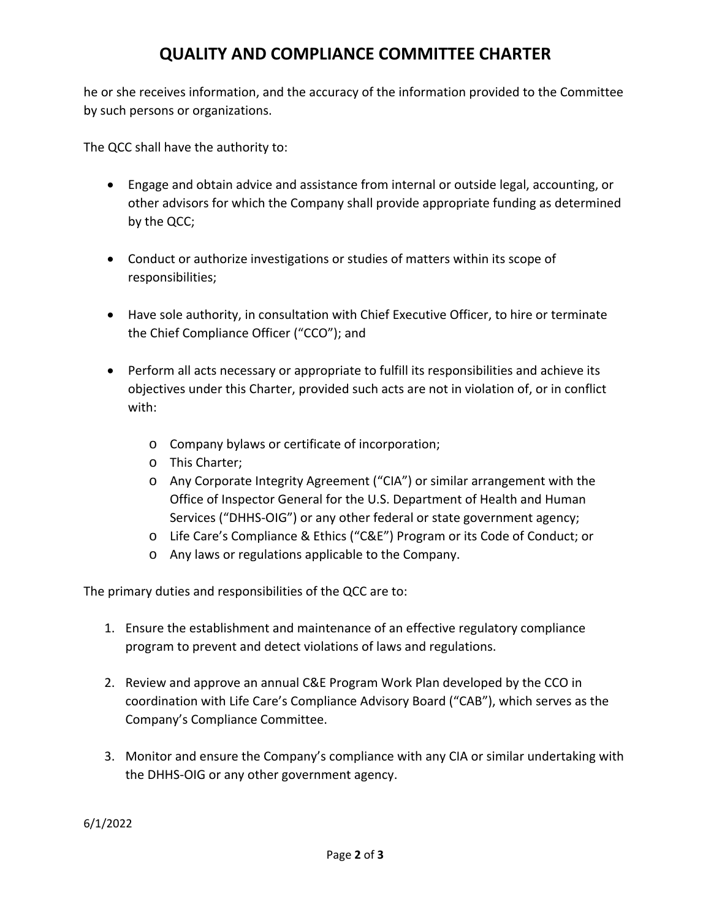# **QUALITY AND COMPLIANCE COMMITTEE CHARTER**

he or she receives information, and the accuracy of the information provided to the Committee by such persons or organizations.

The QCC shall have the authority to:

- Engage and obtain advice and assistance from internal or outside legal, accounting, or other advisors for which the Company shall provide appropriate funding as determined by the QCC;
- Conduct or authorize investigations or studies of matters within its scope of responsibilities;
- Have sole authority, in consultation with Chief Executive Officer, to hire or terminate the Chief Compliance Officer ("CCO"); and
- Perform all acts necessary or appropriate to fulfill its responsibilities and achieve its objectives under this Charter, provided such acts are not in violation of, or in conflict with:
	- o Company bylaws or certificate of incorporation;
	- o This Charter;
	- o Any Corporate Integrity Agreement ("CIA") or similar arrangement with the Office of Inspector General for the U.S. Department of Health and Human Services ("DHHS-OIG") or any other federal or state government agency;
	- o Life Care's Compliance & Ethics ("C&E") Program or its Code of Conduct; or
	- o Any laws or regulations applicable to the Company.

The primary duties and responsibilities of the QCC are to:

- 1. Ensure the establishment and maintenance of an effective regulatory compliance program to prevent and detect violations of laws and regulations.
- 2. Review and approve an annual C&E Program Work Plan developed by the CCO in coordination with Life Care's Compliance Advisory Board ("CAB"), which serves as the Company's Compliance Committee.
- 3. Monitor and ensure the Company's compliance with any CIA or similar undertaking with the DHHS‐OIG or any other government agency.

6/1/2022